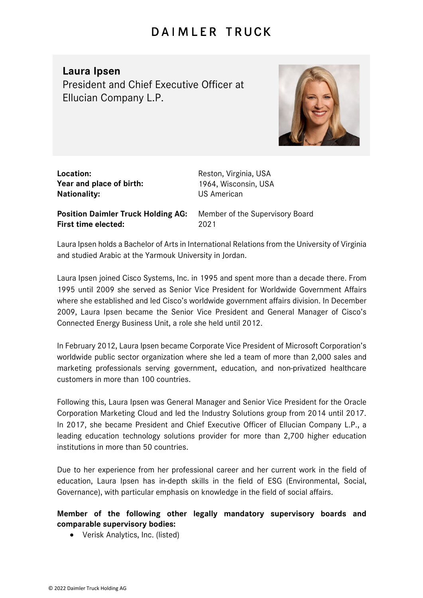## **DAIMLER TRUCK**

## **Laura Ipsen**

President and Chief Executive Officer at Ellucian Company L.P.



| Location:                |
|--------------------------|
| Year and place of birth: |
| <b>Nationality:</b>      |

**Location:** Reston, Virginia, USA **Year and place of birth:** 1964, Wisconsin, USA **NS American** 

**Position Daimler Truck Holding AG:** Member of the Supervisory Board **First time elected:** 2021

Laura Ipsen holds a Bachelor of Arts in International Relations from the University of Virginia and studied Arabic at the Yarmouk University in Jordan.

Laura Ipsen joined Cisco Systems, Inc. in 1995 and spent more than a decade there. From 1995 until 2009 she served as Senior Vice President for Worldwide Government Affairs where she established and led Cisco's worldwide government affairs division. In December 2009, Laura Ipsen became the Senior Vice President and General Manager of Cisco's Connected Energy Business Unit, a role she held until 2012.

In February 2012, Laura Ipsen became Corporate Vice President of Microsoft Corporation's worldwide public sector organization where she led a team of more than 2,000 sales and marketing professionals serving government, education, and non-privatized healthcare customers in more than 100 countries.

Following this, Laura Ipsen was General Manager and Senior Vice President for the Oracle Corporation Marketing Cloud and led the Industry Solutions group from 2014 until 2017. In 2017, she became President and Chief Executive Officer of Ellucian Company L.P., a leading education technology solutions provider for more than 2,700 higher education institutions in more than 50 countries.

Due to her experience from her professional career and her current work in the field of education, Laura Ipsen has in-depth skills in the field of ESG (Environmental, Social, Governance), with particular emphasis on knowledge in the field of social affairs.

## **Member of the following other legally mandatory supervisory boards and comparable supervisory bodies:**

• Verisk Analytics, Inc. (listed)